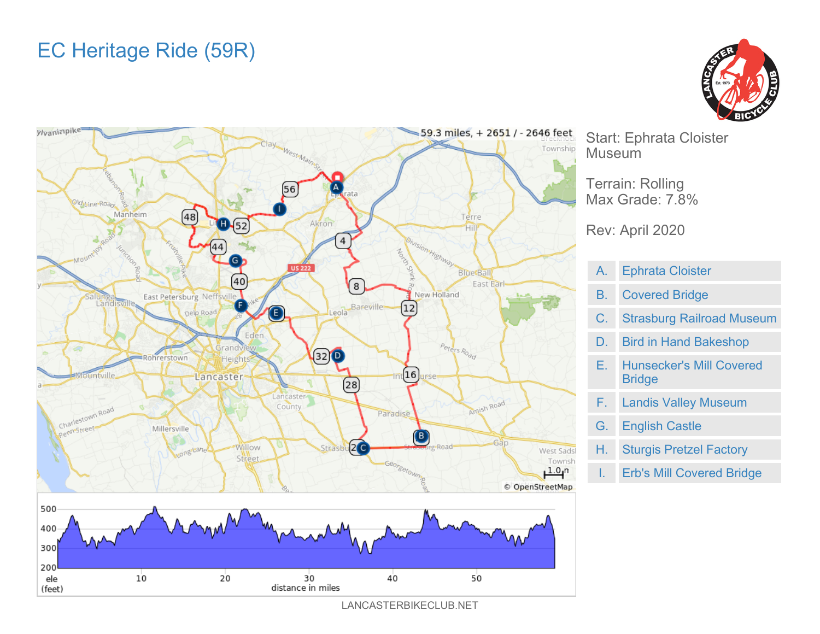## EC Heritage Ride (59R)





Start: Ephrata Cloister Museum

Terrain: Rolling Max Grade: 7.8%

## Rev: April 2020

| A. | <b>Ephrata Cloister</b>                          |
|----|--------------------------------------------------|
| В. | <b>Covered Bridge</b>                            |
| C. | <b>Strasburg Railroad Museum</b>                 |
| D. | <b>Bird in Hand Bakeshop</b>                     |
| Е. | <b>Hunsecker's Mill Covered</b><br><b>Bridge</b> |
| F. | <b>Landis Valley Museum</b>                      |
| G. | <b>English Castle</b>                            |

- H. Sturgis Pretzel Factory
	- Erb's Mill Covered Bridge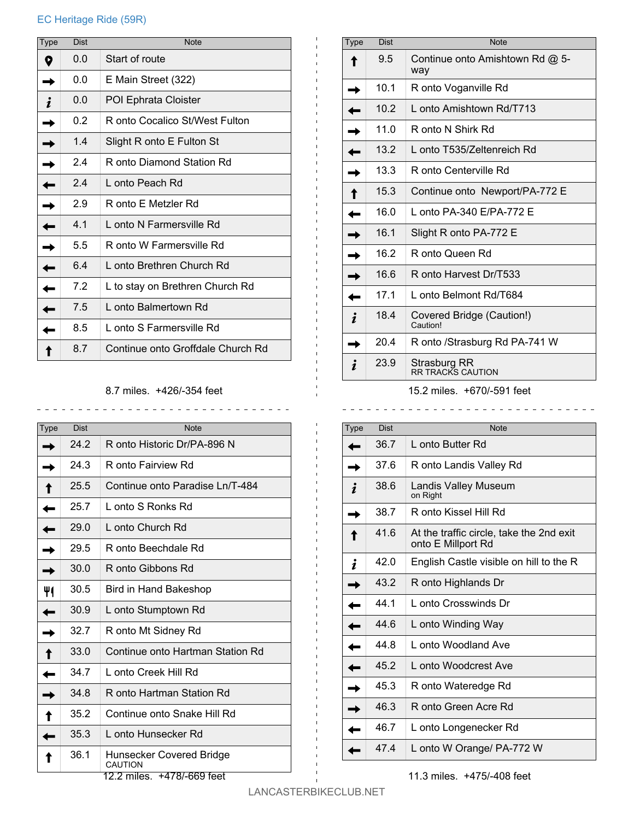## EC Heritage Ride (59R)

| <b>Type</b> | <b>Dist</b> | <b>Note</b>                       |
|-------------|-------------|-----------------------------------|
|             | 0.0         | Start of route                    |
|             | 0.0         | E Main Street (322)               |
|             | 0.0         | POI Ephrata Cloister              |
|             | 0.2         | R onto Cocalico St/West Fulton    |
|             | 1.4         | Slight R onto E Fulton St         |
|             | 2.4         | R onto Diamond Station Rd         |
|             | 2.4         | L onto Peach Rd                   |
|             | 2.9         | R onto E Metzler Rd               |
|             | 4.1         | L onto N Farmersville Rd          |
|             | 5.5         | R onto W Farmersville Rd          |
|             | 6.4         | L onto Brethren Church Rd         |
|             | 7.2         | L to stay on Brethren Church Rd   |
|             | 7.5         | L onto Balmertown Rd              |
|             | 8.5         | L onto S Farmersville Rd          |
|             | 8.7         | Continue onto Groffdale Church Rd |

8.7 miles. +426/-354 feet

\_\_\_\_\_\_\_\_\_\_\_\_\_\_\_\_\_\_\_\_\_\_\_\_\_\_\_\_\_\_

| Type | Dist | <b>Note</b>                         |
|------|------|-------------------------------------|
|      | 24.2 | R onto Historic Dr/PA-896 N         |
|      | 24.3 | R onto Fairview Rd                  |
|      | 25.5 | Continue onto Paradise Ln/T-484     |
|      | 25.7 | L onto S Ronks Rd                   |
|      | 29.0 | L onto Church Rd                    |
|      | 29.5 | R onto Beechdale Rd                 |
|      | 30.0 | R onto Gibbons Rd                   |
|      | 30.5 | Bird in Hand Bakeshop               |
|      | 30.9 | L onto Stumptown Rd                 |
|      | 32.7 | R onto Mt Sidney Rd                 |
|      | 33.0 | Continue onto Hartman Station Rd    |
|      | 34.7 | L onto Creek Hill Rd                |
|      | 34.8 | R onto Hartman Station Rd           |
|      | 35.2 | Continue onto Snake Hill Rd         |
|      | 35.3 | L onto Hunsecker Rd                 |
|      | 36.1 | Hunsecker Covered Bridge<br>CAUTION |

| Type | <b>Dist</b> | <b>Note</b>                            |
|------|-------------|----------------------------------------|
|      | 9.5         | Continue onto Amishtown Rd @ 5-<br>way |
|      | 10.1        | R onto Voganville Rd                   |
|      | 10.2        | L onto Amishtown Rd/T713               |
|      | 11.0        | R onto N Shirk Rd                      |
|      | 13.2        | L onto T535/Zeltenreich Rd             |
|      | 13.3        | R onto Centerville Rd                  |
|      | 15.3        | Continue onto Newport/PA-772 E         |
|      | 16.0        | L onto PA-340 F/PA-772 F               |
|      | 16.1        | Slight R onto PA-772 E                 |
|      | 16.2        | R onto Queen Rd                        |
|      | 16.6        | R onto Harvest Dr/T533                 |
|      | 17.1        | L onto Belmont Rd/T684                 |
|      | 18.4        | Covered Bridge (Caution!)<br>Caution!  |
|      | 20.4        | R onto /Strasburg Rd PA-741 W          |
|      | 23.9        | Strasburg RR<br>RR TRACKS CAUTION      |

15.2 miles. +670/-591 feet

| <b>Type</b> | <b>Dist</b> | <b>Note</b>                                                    |
|-------------|-------------|----------------------------------------------------------------|
|             | 36.7        | L onto Butter Rd                                               |
|             | 37.6        | R onto Landis Valley Rd                                        |
|             | 38.6        | Landis Valley Museum<br>on Right                               |
|             | 38.7        | R onto Kissel Hill Rd                                          |
|             | 41.6        | At the traffic circle, take the 2nd exit<br>onto E Millport Rd |
|             | 42.0        | English Castle visible on hill to the R                        |
|             | 43.2        | R onto Highlands Dr                                            |
|             | 44.1        | L onto Crosswinds Dr                                           |
|             | 44.6        | L onto Winding Way                                             |
|             | 44.8        | L onto Woodland Ave                                            |
|             | 45.2        | L onto Woodcrest Ave                                           |
|             | 45.3        | R onto Wateredge Rd                                            |
|             | 46.3        | R onto Green Acre Rd                                           |
|             | 46.7        | L onto Longenecker Rd                                          |
|             | 47.4        | L onto W Orange/ PA-772 W                                      |

11.3 miles. +475/-408 feet